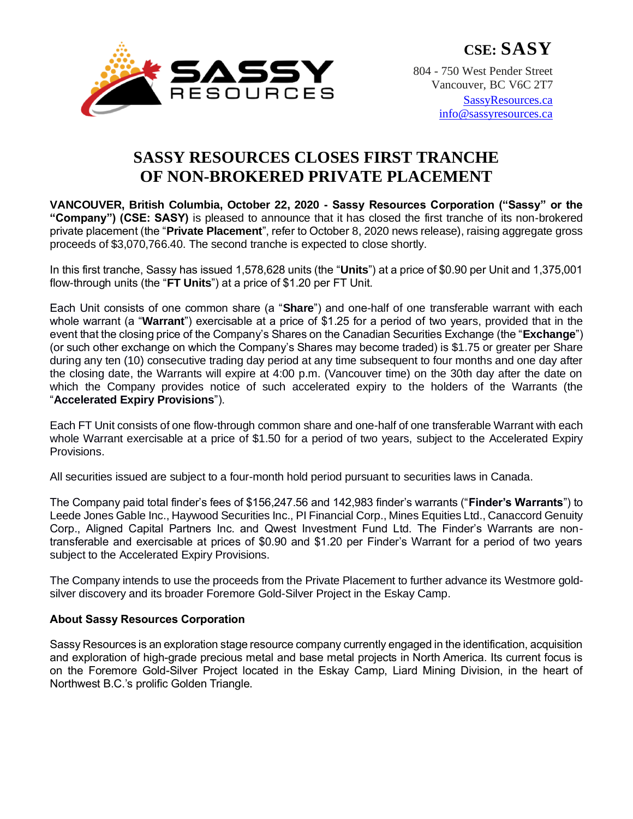

**CSE: SASY**

804 - 750 West Pender Street Vancouver, BC V6C 2T7 [SassyResources.ca](http://www.sassyresources.ca/)

[info@sassyresources.ca](mailto:info@sassyresources.ca)

## **SASSY RESOURCES CLOSES FIRST TRANCHE OF NON-BROKERED PRIVATE PLACEMENT**

**VANCOUVER, British Columbia, October 22, 2020 - Sassy Resources Corporation ("Sassy" or the "Company") (CSE: SASY)** is pleased to announce that it has closed the first tranche of its non-brokered private placement (the "**Private Placement**", refer to October 8, 2020 news release), raising aggregate gross proceeds of \$3,070,766.40. The second tranche is expected to close shortly.

In this first tranche, Sassy has issued 1,578,628 units (the "**Units**") at a price of \$0.90 per Unit and 1,375,001 flow-through units (the "**FT Units**") at a price of \$1.20 per FT Unit.

Each Unit consists of one common share (a "**Share**") and one-half of one transferable warrant with each whole warrant (a "**Warrant**") exercisable at a price of \$1.25 for a period of two years, provided that in the event that the closing price of the Company's Shares on the Canadian Securities Exchange (the "**Exchange**") (or such other exchange on which the Company's Shares may become traded) is \$1.75 or greater per Share during any ten (10) consecutive trading day period at any time subsequent to four months and one day after the closing date, the Warrants will expire at 4:00 p.m. (Vancouver time) on the 30th day after the date on which the Company provides notice of such accelerated expiry to the holders of the Warrants (the "**Accelerated Expiry Provisions**").

Each FT Unit consists of one flow-through common share and one-half of one transferable Warrant with each whole Warrant exercisable at a price of \$1.50 for a period of two years, subject to the Accelerated Expiry Provisions.

All securities issued are subject to a four-month hold period pursuant to securities laws in Canada.

The Company paid total finder's fees of \$156,247.56 and 142,983 finder's warrants ("**Finder's Warrants**") to Leede Jones Gable Inc., Haywood Securities Inc., PI Financial Corp., Mines Equities Ltd., Canaccord Genuity Corp., Aligned Capital Partners Inc. and Qwest Investment Fund Ltd. The Finder's Warrants are nontransferable and exercisable at prices of \$0.90 and \$1.20 per Finder's Warrant for a period of two years subject to the Accelerated Expiry Provisions.

The Company intends to use the proceeds from the Private Placement to further advance its Westmore goldsilver discovery and its broader Foremore Gold-Silver Project in the Eskay Camp.

## **About Sassy Resources Corporation**

Sassy Resources is an exploration stage resource company currently engaged in the identification, acquisition and exploration of high-grade precious metal and base metal projects in North America. Its current focus is on the Foremore Gold-Silver Project located in the Eskay Camp, Liard Mining Division, in the heart of Northwest B.C.'s prolific Golden Triangle.